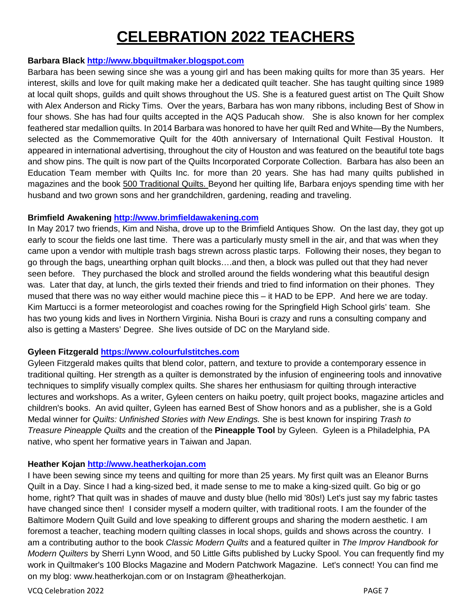## **CELEBRATION 2022 TEACHERS**

#### **Barbara Black [http://www.bbquiltmaker.blogspot.com](http://www.bbquiltmaker.blogspot.com/)**

Barbara has been sewing since she was a young girl and has been making quilts for more than 35 years. Her interest, skills and love for quilt making make her a dedicated quilt teacher. She has taught quilting since 1989 at local quilt shops, guilds and quilt shows throughout the US. She is a featured guest artist on The Quilt Show with Alex Anderson and Ricky Tims. Over the years, Barbara has won many ribbons, including Best of Show in four shows. She has had four quilts accepted in the AQS Paducah show. She is also known for her complex feathered star medallion quilts. In 2014 Barbara was honored to have her quilt Red and White—By the Numbers, selected as the Commemorative Quilt for the 40th anniversary of International Quilt Festival Houston. It appeared in international advertising, throughout the city of Houston and was featured on the beautiful tote bags and show pins. The quilt is now part of the Quilts Incorporated Corporate Collection. Barbara has also been an Education Team member with Quilts Inc. for more than 20 years. She has had many quilts published in magazines and the book 500 Traditional Quilts. Beyond her quilting life, Barbara enjoys spending time with her husband and two grown sons and her grandchildren, gardening, reading and traveling.

#### **Brimfield Awakening [http://www.brimfieldawakening.com](http://www.brimfieldawakening.com/)**

In May 2017 two friends, Kim and Nisha, drove up to the Brimfield Antiques Show. On the last day, they got up early to scour the fields one last time. There was a particularly musty smell in the air, and that was when they came upon a vendor with multiple trash bags strewn across plastic tarps. Following their noses, they began to go through the bags, unearthing orphan quilt blocks….and then, a block was pulled out that they had never seen before. They purchased the block and strolled around the fields wondering what this beautiful design was. Later that day, at lunch, the girls texted their friends and tried to find information on their phones. They mused that there was no way either would machine piece this – it HAD to be EPP. And here we are today. Kim Martucci is a former meteorologist and coaches rowing for the Springfield High School girls' team. She has two young kids and lives in Northern Virginia. Nisha Bouri is crazy and runs a consulting company and also is getting a Masters' Degree. She lives outside of DC on the Maryland side.

### **Gyleen Fitzgerald [https://www.colourfulstitches.com](https://www.colourfulstitches.com/)**

Gyleen Fitzgerald makes quilts that blend color, pattern, and texture to provide a contemporary essence in traditional quilting. Her strength as a quilter is demonstrated by the infusion of engineering tools and innovative techniques to simplify visually complex quilts. She shares her enthusiasm for quilting through interactive lectures and workshops. As a writer, Gyleen centers on haiku poetry, quilt project books, magazine articles and children's books. An avid quilter, Gyleen has earned Best of Show honors and as a publisher, she is a Gold Medal winner for *Quilts: Unfinished Stories with New Endings.* She is best known for inspiring *Trash to Treasure Pineapple Quilts* and the creation of the **Pineapple Tool** by Gyleen. Gyleen is a Philadelphia, PA native, who spent her formative years in Taiwan and Japan.

#### **Heather Kojan [http://www.heatherkojan.com](http://www.heatherkojan.com/)**

I have been sewing since my teens and quilting for more than 25 years. My first quilt was an Eleanor Burns Quilt in a Day. Since I had a king-sized bed, it made sense to me to make a king-sized quilt. Go big or go home, right? That quilt was in shades of mauve and dusty blue (hello mid '80s!) Let's just say my fabric tastes have changed since then! I consider myself a modern quilter, with traditional roots. I am the founder of the Baltimore Modern Quilt Guild and love speaking to different groups and sharing the modern aesthetic. I am foremost a teacher, teaching modern quilting classes in local shops, guilds and shows across the country. I am a contributing author to the book *Classic Modern Quilts* and a featured quilter in *The Improv Handbook for Modern Quilters* by Sherri Lynn Wood, and 50 Little Gifts published by Lucky Spool. You can frequently find my work in Quiltmaker's 100 Blocks Magazine and Modern Patchwork Magazine. Let's connect! You can find me on my blog: www.heatherkojan.com or on Instagram @heatherkojan.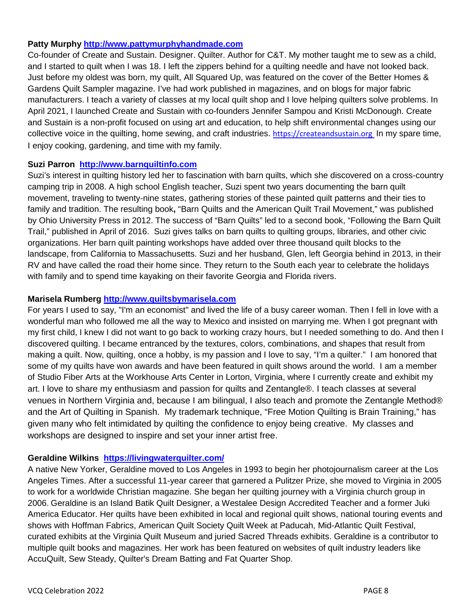#### **Patty Murphy [http://www.pattymurphyhandmade.com](http://www.pattymurphyhandmade.com/)**

Co-founder of Create and Sustain. Designer. Quilter. Author for C&T. My mother taught me to sew as a child, and I started to quilt when I was 18. I left the zippers behind for a quilting needle and have not looked back. Just before my oldest was born, my quilt, All Squared Up, was featured on the cover of the Better Homes & Gardens Quilt Sampler magazine. I've had work published in magazines, and on blogs for major fabric manufacturers. I teach a variety of classes at my local quilt shop and I love helping quilters solve problems. In April 2021, I launched Create and Sustain with co-founders Jennifer Sampou and Kristi McDonough. Create and Sustain is a non-profit focused on using art and education, to help shift environmental changes using our collective voice in the quilting, home sewing, and craft industries. [https://createandsustain.org](https://createandsustain.org/) In my spare time, I enjoy cooking, gardening, and time with my family.

#### **Suzi Parron [http://www.barnquiltinfo.com](http://www.barnquiltinfo.com/)**

Suzi's interest in quilting history led her to fascination with barn quilts, which she discovered on a cross-country camping trip in 2008. A high school English teacher, Suzi spent two years documenting the barn quilt movement, traveling to twenty-nine states, gathering stories of these painted quilt patterns and their ties to family and tradition. The resulting book**,** "Barn Quilts and the American Quilt Trail Movement," was published by Ohio University Press in 2012. The success of "Barn Quilts" led to a second book, "Following the Barn Quilt Trail," published in April of 2016. Suzi gives talks on barn quilts to quilting groups, libraries, and other civic organizations. Her barn quilt painting workshops have added over three thousand quilt blocks to the landscape, from California to Massachusetts. Suzi and her husband, Glen, left Georgia behind in 2013, in their RV and have called the road their home since. They return to the South each year to celebrate the holidays with family and to spend time kayaking on their favorite Georgia and Florida rivers.

#### **Marisela Rumberg [http://www.quiltsbymarisela.com](http://www.quiltsbymarisela.com/)**

For years I used to say, "I'm an economist" and lived the life of a busy career woman. Then I fell in love with a wonderful man who followed me all the way to Mexico and insisted on marrying me. When I got pregnant with my first child, I knew I did not want to go back to working crazy hours, but I needed something to do. And then I discovered quilting. I became entranced by the textures, colors, combinations, and shapes that result from making a quilt. Now, quilting, once a hobby, is my passion and I love to say, "I'm a quilter." I am honored that some of my quilts have won awards and have been featured in quilt shows around the world. I am a member of Studio Fiber Arts at the Workhouse Arts Center in Lorton, Virginia, where I currently create and exhibit my art. I love to share my enthusiasm and passion for quilts and Zentangle®. I teach classes at several venues in Northern Virginia and, because I am bilingual, I also teach and promote the Zentangle Method® and the Art of Quilting in Spanish. My trademark technique, "Free Motion Quilting is Brain Training," has given many who felt intimidated by quilting the confidence to enjoy being creative. My classes and workshops are designed to inspire and set your inner artist free.

### **Geraldine Wilkins <https://livingwaterquilter.com/>**

A native New Yorker, Geraldine moved to Los Angeles in 1993 to begin her photojournalism career at the Los Angeles Times. After a successful 11-year career that garnered a Pulitzer Prize, she moved to Virginia in 2005 to work for a worldwide Christian magazine. She began her quilting journey with a Virginia church group in 2006. Geraldine is an Island Batik Quilt Designer, a Westalee Design Accredited Teacher and a former Juki America Educator. Her quilts have been exhibited in local and regional quilt shows, national touring events and shows with Hoffman Fabrics, American Quilt Society Quilt Week at Paducah, Mid-Atlantic Quilt Festival, curated exhibits at the Virginia Quilt Museum and juried Sacred Threads exhibits. Geraldine is a contributor to multiple quilt books and magazines. Her work has been featured on websites of quilt industry leaders like AccuQuilt, Sew Steady, Quilter's Dream Batting and Fat Quarter Shop.